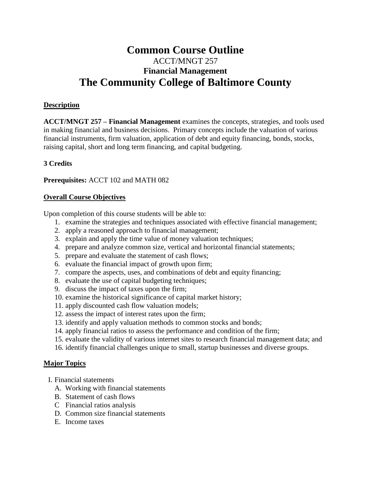# **Common Course Outline** ACCT/MNGT 257 **Financial Management The Community College of Baltimore County**

#### **Description**

**ACCT/MNGT 257 – Financial Management** examines the concepts, strategies, and tools used in making financial and business decisions. Primary concepts include the valuation of various financial instruments, firm valuation, application of debt and equity financing, bonds, stocks, raising capital, short and long term financing, and capital budgeting.

#### **3 Credits**

**Prerequisites:** ACCT 102 and MATH 082

#### **Overall Course Objectives**

Upon completion of this course students will be able to:

- 1. examine the strategies and techniques associated with effective financial management;
- 2. apply a reasoned approach to financial management;
- 3. explain and apply the time value of money valuation techniques;
- 4. prepare and analyze common size, vertical and horizontal financial statements;
- 5. prepare and evaluate the statement of cash flows;
- 6. evaluate the financial impact of growth upon firm;
- 7. compare the aspects, uses, and combinations of debt and equity financing;
- 8. evaluate the use of capital budgeting techniques;
- 9. discuss the impact of taxes upon the firm;
- 10. examine the historical significance of capital market history;
- 11. apply discounted cash flow valuation models;
- 12. assess the impact of interest rates upon the firm;
- 13. identify and apply valuation methods to common stocks and bonds;
- 14. apply financial ratios to assess the performance and condition of the firm;
- 15. evaluate the validity of various internet sites to research financial management data; and
- 16. identify financial challenges unique to small, startup businesses and diverse groups.

#### **Major Topics**

- I. Financial statements
	- A. Working with financial statements
	- B. Statement of cash flows
	- C Financial ratios analysis
	- D. Common size financial statements
	- E. Income taxes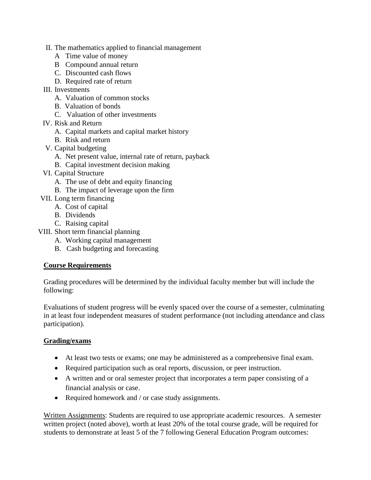- II. The mathematics applied to financial management
	- A Time value of money
	- B Compound annual return
	- C. Discounted cash flows
	- D. Required rate of return
- III. Investments
	- A. Valuation of common stocks
	- B. Valuation of bonds
	- C. Valuation of other investments
- IV. Risk and Return
	- A. Capital markets and capital market history
	- B. Risk and return
- V. Capital budgeting
	- A. Net present value, internal rate of return, payback
	- B. Capital investment decision making
- VI. Capital Structure
	- A. The use of debt and equity financing
	- B. The impact of leverage upon the firm
- VII. Long term financing
	- A. Cost of capital
	- B. Dividends
	- C. Raising capital
- VIII. Short term financial planning
	- A. Working capital management
	- B. Cash budgeting and forecasting

## **Course Requirements**

Grading procedures will be determined by the individual faculty member but will include the following:

Evaluations of student progress will be evenly spaced over the course of a semester, culminating in at least four independent measures of student performance (not including attendance and class participation).

### **Grading/exams**

- At least two tests or exams; one may be administered as a comprehensive final exam.
- Required participation such as oral reports, discussion, or peer instruction.
- A written and or oral semester project that incorporates a term paper consisting of a financial analysis or case.
- Required homework and / or case study assignments.

Written Assignments: Students are required to use appropriate academic resources. A semester written project (noted above), worth at least 20% of the total course grade, will be required for students to demonstrate at least 5 of the 7 following General Education Program outcomes: